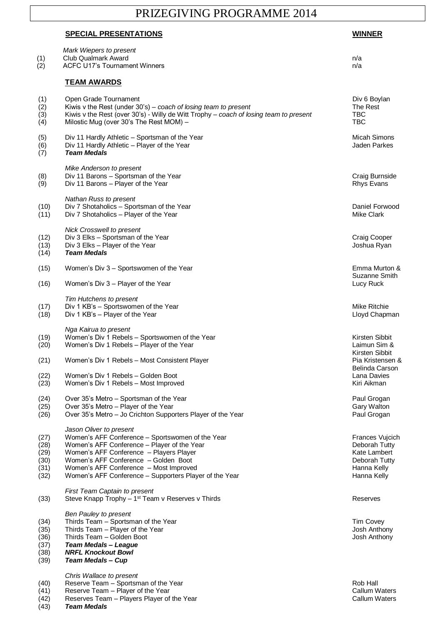## PRIZEGIVING PROGRAMME 2014

## **SPECIAL PRESENTATIONS WINNER**

| (1)<br>(2)                                   | Mark Wiepers to present<br><b>Club Qualmark Award</b><br><b>ACFC U17's Tournament Winners</b>                                                                                                                                                                                                                     | n/a<br>n/a                                                                                      |
|----------------------------------------------|-------------------------------------------------------------------------------------------------------------------------------------------------------------------------------------------------------------------------------------------------------------------------------------------------------------------|-------------------------------------------------------------------------------------------------|
|                                              | <b>TEAM AWARDS</b>                                                                                                                                                                                                                                                                                                |                                                                                                 |
| (1)<br>(2)<br>(3)<br>(4)                     | Open Grade Tournament<br>Kiwis v the Rest (under $30's$ ) – coach of losing team to present<br>Kiwis v the Rest (over 30's) - Willy de Witt Trophy – coach of losing team to present<br>Milostic Mug (over 30's The Rest MOM) -                                                                                   | Div 6 Boylan<br>The Rest<br>TBC<br><b>TBC</b>                                                   |
| (5)<br>(6)<br>(7)                            | Div 11 Hardly Athletic – Sportsman of the Year<br>Div 11 Hardly Athletic - Player of the Year<br><b>Team Medals</b>                                                                                                                                                                                               | Micah Simons<br>Jaden Parkes                                                                    |
| (8)<br>(9)                                   | Mike Anderson to present<br>Div 11 Barons - Sportsman of the Year<br>Div 11 Barons - Player of the Year                                                                                                                                                                                                           | Craig Burnside<br><b>Rhys Evans</b>                                                             |
| (10)<br>(11)                                 | Nathan Russ to present<br>Div 7 Shotaholics - Sportsman of the Year<br>Div 7 Shotaholics - Player of the Year                                                                                                                                                                                                     | Daniel Forwood<br>Mike Clark                                                                    |
| (12)<br>(13)<br>(14)                         | Nick Crosswell to present<br>Div 3 Elks - Sportsman of the Year<br>Div 3 Elks - Player of the Year<br><b>Team Medals</b>                                                                                                                                                                                          | Craig Cooper<br>Joshua Ryan                                                                     |
| (15)                                         | Women's Div 3 - Sportswomen of the Year                                                                                                                                                                                                                                                                           | Emma Murton &<br>Suzanne Smith                                                                  |
| (16)                                         | Women's Div 3 – Player of the Year                                                                                                                                                                                                                                                                                | Lucy Ruck                                                                                       |
| (17)<br>(18)                                 | Tim Hutchens to present<br>Div 1 KB's - Sportswomen of the Year<br>Div 1 KB's - Player of the Year                                                                                                                                                                                                                | Mike Ritchie<br>Lloyd Chapman                                                                   |
| (19)<br>(20)                                 | Nga Kairua to present<br>Women's Div 1 Rebels - Sportswomen of the Year<br>Women's Div 1 Rebels - Player of the Year                                                                                                                                                                                              | Kirsten Sibbit<br>Laimun Sim &                                                                  |
| (21)                                         | Women's Div 1 Rebels - Most Consistent Player                                                                                                                                                                                                                                                                     | Kirsten Sibbit<br>Pia Kristensen &<br>Belinda Carson<br>Lana Davies<br>Kiri Aikman              |
| (22)<br>(23)                                 | Women's Div 1 Rebels – Golden Boot<br>Women's Div 1 Rebels - Most Improved                                                                                                                                                                                                                                        |                                                                                                 |
| (24)<br>(25)<br>(26)                         | Over 35's Metro - Sportsman of the Year<br>Over 35's Metro - Player of the Year<br>Over 35's Metro - Jo Crichton Supporters Player of the Year                                                                                                                                                                    | Paul Grogan<br>Gary Walton<br>Paul Grogan                                                       |
| (27)<br>(28)<br>(29)<br>(30)<br>(31)<br>(32) | Jason Oliver to present<br>Women's AFF Conference - Sportswomen of the Year<br>Women's AFF Conference - Player of the Year<br>Women's AFF Conference - Players Player<br>Women's AFF Conference - Golden Boot<br>Women's AFF Conference - Most Improved<br>Women's AFF Conference - Supporters Player of the Year | Frances Vujcich<br>Deborah Tutty<br>Kate Lambert<br>Deborah Tutty<br>Hanna Kelly<br>Hanna Kelly |
| (33)                                         | <b>First Team Captain to present</b><br>Steve Knapp Trophy - 1 <sup>st</sup> Team v Reserves v Thirds                                                                                                                                                                                                             | Reserves                                                                                        |
| (34)<br>(35)<br>(36)<br>(37)<br>(38)<br>(39) | Ben Pauley to present<br>Thirds Team - Sportsman of the Year<br>Thirds Team - Player of the Year<br>Thirds Team - Golden Boot<br><b>Team Medals - League</b><br><b>NRFL Knockout Bowl</b><br><b>Team Medals - Cup</b>                                                                                             | <b>Tim Covey</b><br>Josh Anthony<br>Josh Anthony                                                |
| (40)<br>(41)<br>(42)<br>(43)                 | Chris Wallace to present<br>Reserve Team - Sportsman of the Year<br>Reserve Team - Player of the Year<br>Reserves Team - Players Player of the Year<br><b>Team Medals</b>                                                                                                                                         | Rob Hall<br><b>Callum Waters</b><br>Callum Waters                                               |